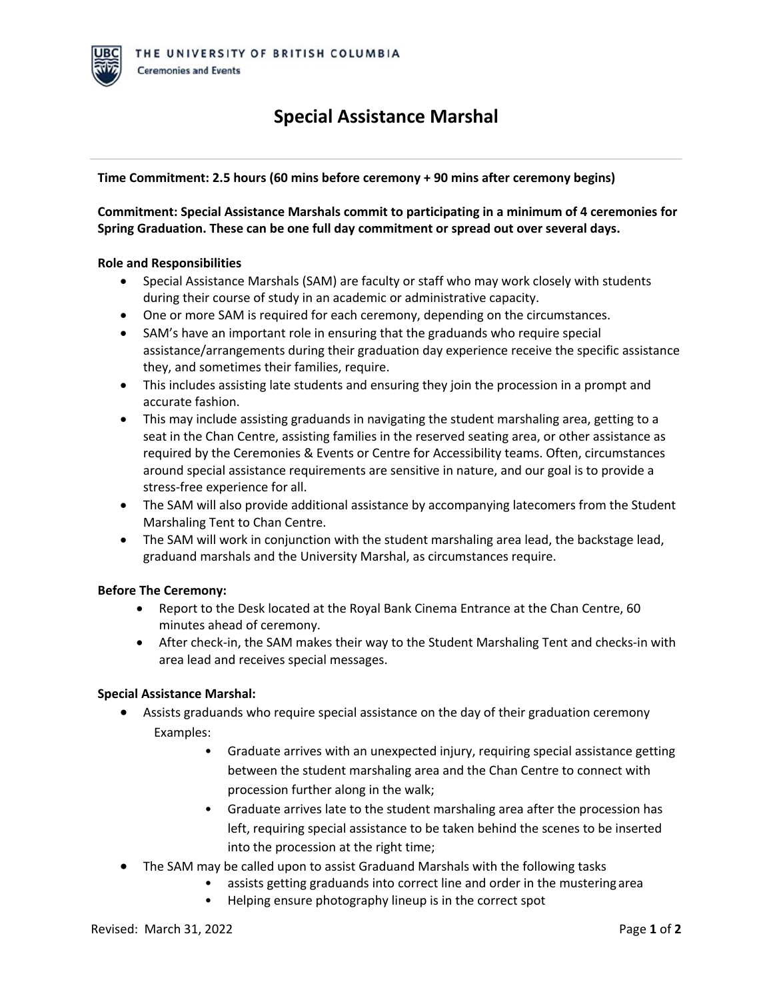# **Special Assistance Marshal**

## **Time Commitment: 2.5 hours (60 mins before ceremony + 90 mins after ceremony begins)**

**Commitment: Special Assistance Marshals commit to participating in a minimum of 4 ceremonies for Spring Graduation. These can be one full day commitment or spread out over several days.**

### **Role and Responsibilities**

- Special Assistance Marshals (SAM) are faculty or staff who may work closely with students during their course of study in an academic or administrative capacity.
- One or more SAM is required for each ceremony, depending on the circumstances.
- SAM's have an important role in ensuring that the graduands who require special assistance/arrangements during their graduation day experience receive the specific assistance they, and sometimes their families, require.
- This includes assisting late students and ensuring they join the procession in a prompt and accurate fashion.
- This may include assisting graduands in navigating the student marshaling area, getting to a seat in the Chan Centre, assisting families in the reserved seating area, or other assistance as required by the Ceremonies & Events or Centre for Accessibility teams. Often, circumstances around special assistance requirements are sensitive in nature, and our goal is to provide a stress-free experience for all.
- The SAM will also provide additional assistance by accompanying latecomers from the Student Marshaling Tent to Chan Centre.
- The SAM will work in conjunction with the student marshaling area lead, the backstage lead, graduand marshals and the University Marshal, as circumstances require.

## **Before The Ceremony:**

- Report to the Desk located at the Royal Bank Cinema Entrance at the Chan Centre, 60 minutes ahead of ceremony.
- After check-in, the SAM makes their way to the Student Marshaling Tent and checks-in with area lead and receives special messages.

## **Special Assistance Marshal:**

- Assists graduands who require special assistance on the day of their graduation ceremony Examples:
	- Graduate arrives with an unexpected injury, requiring special assistance getting between the student marshaling area and the Chan Centre to connect with procession further along in the walk;
	- Graduate arrives late to the student marshaling area after the procession has left, requiring special assistance to be taken behind the scenes to be inserted into the procession at the right time;
- The SAM may be called upon to assist Graduand Marshals with the following tasks
	- assists getting graduands into correct line and order in the mustering area
	- Helping ensure photography lineup is in the correct spot